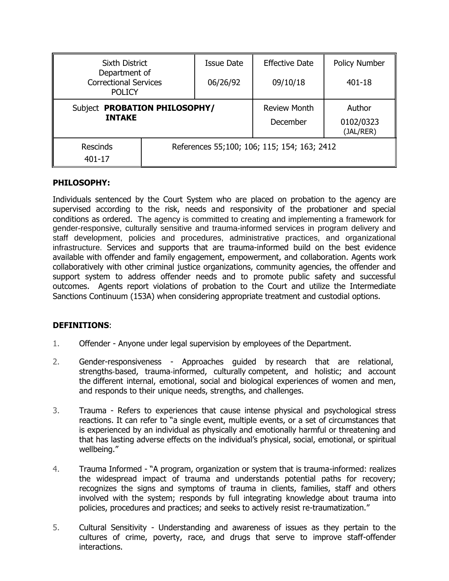| <b>Sixth District</b><br>Department of<br><b>Correctional Services</b><br><b>POLICY</b> |                                             | <b>Issue Date</b> | <b>Effective Date</b>           | <b>Policy Number</b>             |
|-----------------------------------------------------------------------------------------|---------------------------------------------|-------------------|---------------------------------|----------------------------------|
|                                                                                         |                                             | 06/26/92          | 09/10/18                        | 401-18                           |
| Subject PROBATION PHILOSOPHY/<br><b>INTAKE</b>                                          |                                             |                   | <b>Review Month</b><br>December | Author<br>0102/0323<br>(JAL/RER) |
| <b>Rescinds</b><br>401-17                                                               | References 55;100; 106; 115; 154; 163; 2412 |                   |                                 |                                  |

#### **PHILOSOPHY:**

Individuals sentenced by the Court System who are placed on probation to the agency are supervised according to the risk, needs and responsivity of the probationer and special conditions as ordered. The agency is committed to creating and implementing a framework for gender-responsive, culturally sensitive and trauma-informed services in program delivery and staff development, policies and procedures, administrative practices, and organizational infrastructure. Services and supports that are trauma-informed build on the best evidence available with offender and family engagement, empowerment, and collaboration. Agents work collaboratively with other criminal justice organizations, community agencies, the offender and support system to address offender needs and to promote public safety and successful outcomes. Agents report violations of probation to the Court and utilize the Intermediate Sanctions Continuum (153A) when considering appropriate treatment and custodial options.

#### **DEFINITIONS**:

- 1. Offender Anyone under legal supervision by employees of the Department.
- 2. Gender-responsiveness Approaches guided by research that are relational, strengths-based, trauma-informed, culturally competent, and holistic; and account the different internal, emotional, social and biological experiences of women and men, and responds to their unique needs, strengths, and challenges.
- 3. Trauma Refers to experiences that cause intense physical and psychological stress reactions. It can refer to "a single event, multiple events, or a set of circumstances that is experienced by an individual as physically and emotionally harmful or threatening and that has lasting adverse effects on the individual's physical, social, emotional, or spiritual wellbeing."
- 4. Trauma Informed "A program, organization or system that is trauma-informed: realizes the widespread impact of trauma and understands potential paths for recovery; recognizes the signs and symptoms of trauma in clients, families, staff and others involved with the system; responds by full integrating knowledge about trauma into policies, procedures and practices; and seeks to actively resist re-traumatization."
- 5. Cultural Sensitivity Understanding and awareness of issues as they pertain to the cultures of crime, poverty, race, and drugs that serve to improve staff-offender interactions.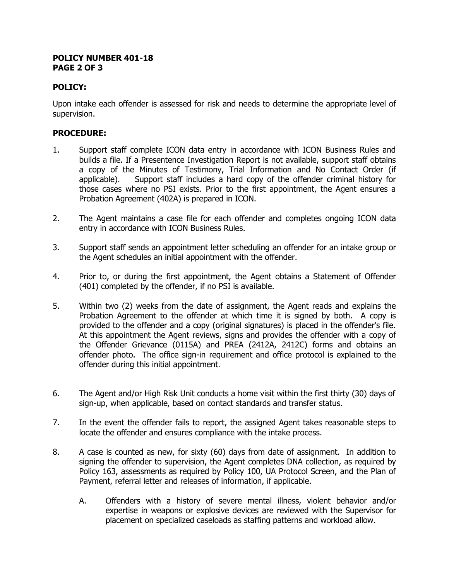#### **POLICY NUMBER 401-18 PAGE 2 OF 3**

## **POLICY:**

Upon intake each offender is assessed for risk and needs to determine the appropriate level of supervision.

# **PROCEDURE:**

- 1. Support staff complete ICON data entry in accordance with ICON Business Rules and builds a file. If a Presentence Investigation Report is not available, support staff obtains a copy of the Minutes of Testimony, Trial Information and No Contact Order (if applicable). Support staff includes a hard copy of the offender criminal history for those cases where no PSI exists. Prior to the first appointment, the Agent ensures a Probation Agreement (402A) is prepared in ICON.
- 2. The Agent maintains a case file for each offender and completes ongoing ICON data entry in accordance with ICON Business Rules.
- 3. Support staff sends an appointment letter scheduling an offender for an intake group or the Agent schedules an initial appointment with the offender.
- 4. Prior to, or during the first appointment, the Agent obtains a Statement of Offender (401) completed by the offender, if no PSI is available.
- 5. Within two (2) weeks from the date of assignment, the Agent reads and explains the Probation Agreement to the offender at which time it is signed by both. A copy is provided to the offender and a copy (original signatures) is placed in the offender's file. At this appointment the Agent reviews, signs and provides the offender with a copy of the Offender Grievance (0115A) and PREA (2412A, 2412C) forms and obtains an offender photo. The office sign-in requirement and office protocol is explained to the offender during this initial appointment.
- 6. The Agent and/or High Risk Unit conducts a home visit within the first thirty (30) days of sign-up, when applicable, based on contact standards and transfer status.
- 7. In the event the offender fails to report, the assigned Agent takes reasonable steps to locate the offender and ensures compliance with the intake process.
- 8. A case is counted as new, for sixty (60) days from date of assignment. In addition to signing the offender to supervision, the Agent completes DNA collection, as required by Policy 163, assessments as required by Policy 100, UA Protocol Screen, and the Plan of Payment, referral letter and releases of information, if applicable.
	- A. Offenders with a history of severe mental illness, violent behavior and/or expertise in weapons or explosive devices are reviewed with the Supervisor for placement on specialized caseloads as staffing patterns and workload allow.